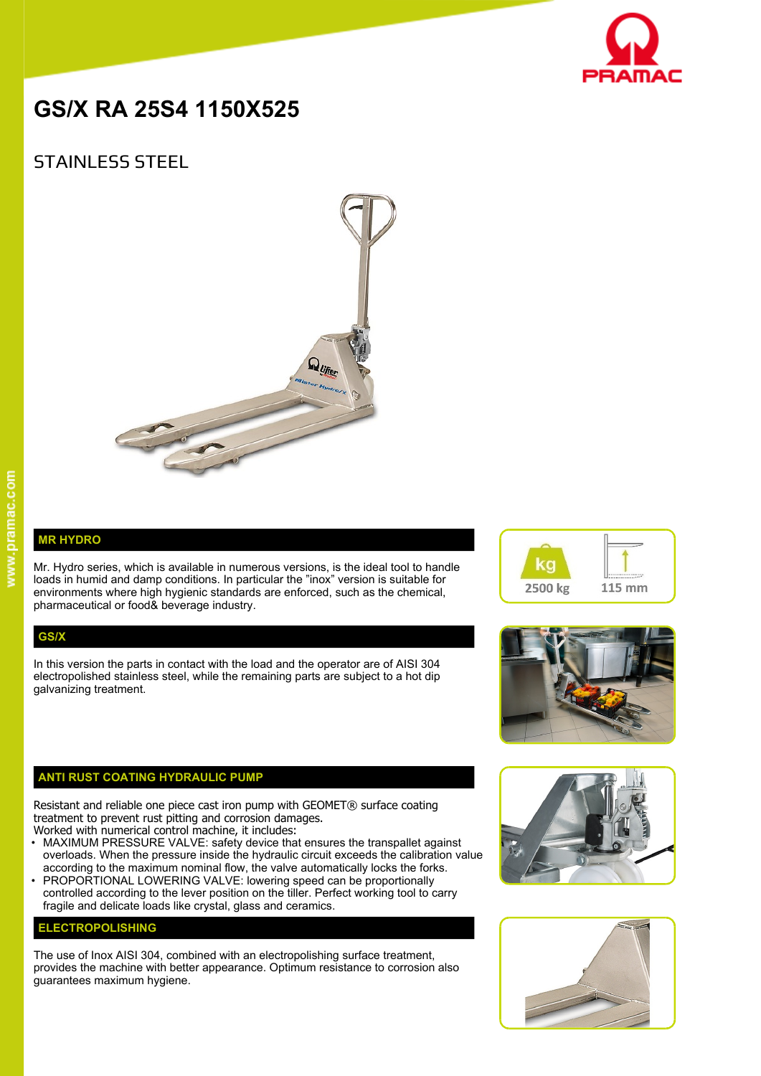

# **GS/X RA 25S4 1150X525**

# STAINLESS STEEL



### **MR HYDRO**

Mr. Hydro series, which is available in numerous versions, is the ideal tool to handle loads in humid and damp conditions. In particular the "inox" version is suitable for environments where high hygienic standards are enforced, such as the chemical, pharmaceutical or food& beverage industry.

#### **GS/X**

In this version the parts in contact with the load and the operator are of AISI 304 electropolished stainless steel, while the remaining parts are subject to a hot dip galvanizing treatment.

## **ANTI RUST COATING HYDRAULIC PUMP**

Resistant and reliable one piece cast iron pump with GEOMET® surface coating treatment to prevent rust pitting and corrosion damages.

- Worked with numerical control machine, it includes:
- MAXIMUM PRESSURE VALVE: safety device that ensures the transpallet against overloads. When the pressure inside the hydraulic circuit exceeds the calibration value according to the maximum nominal flow, the valve automatically locks the forks.
- PROPORTIONAL LOWERING VALVE: lowering speed can be proportionally controlled according to the lever position on the tiller. Perfect working tool to carry fragile and delicate loads like crystal, glass and ceramics.

#### **ELECTROPOLISHING**

The use of Inox AISI 304, combined with an electropolishing surface treatment, provides the machine with better appearance. Optimum resistance to corrosion also guarantees maximum hygiene.







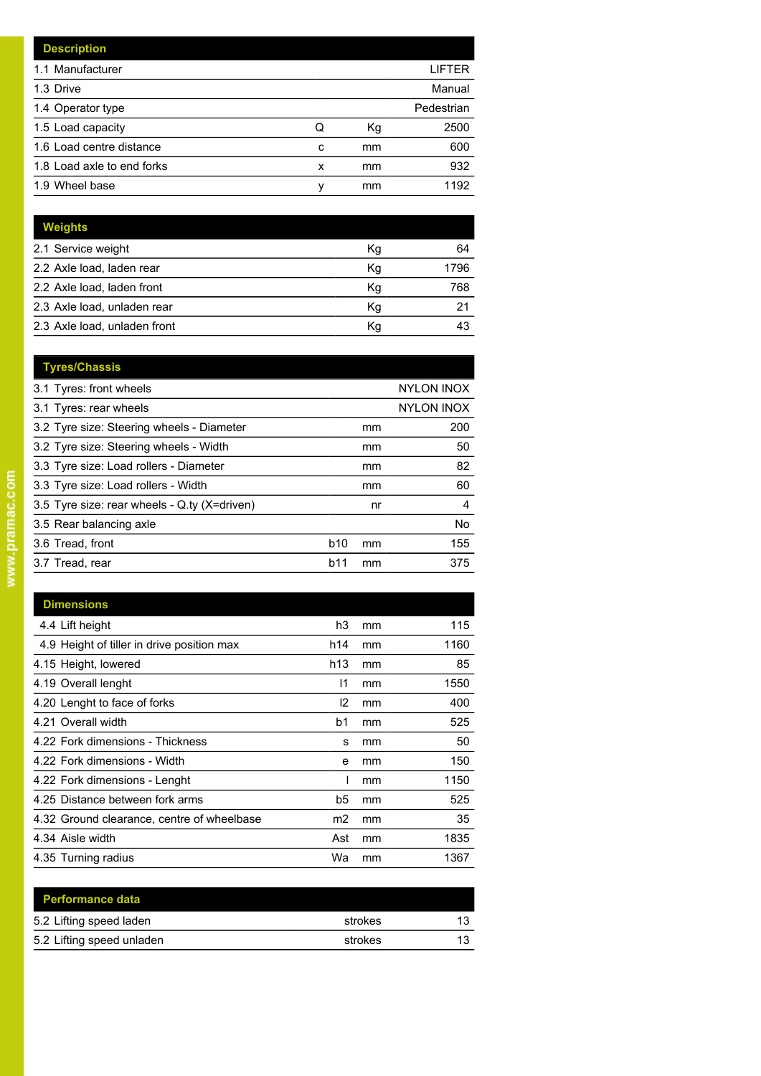|   |    | LIFTER     |
|---|----|------------|
|   |    | Manual     |
|   |    | Pedestrian |
| Q | Кg | 2500       |
| c | mm | 600        |
| x | mm | 932        |
| ν | mm | 1192       |
|   |    |            |

| Weights                      |    |      |
|------------------------------|----|------|
| 2.1 Service weight           | Κg | 64   |
| 2.2 Axle load, laden rear    | Κg | 1796 |
| 2.2 Axle load, laden front   | Kg | 768  |
| 2.3 Axle load, unladen rear  | Κg | 21   |
| 2.3 Axle load, unladen front | Κq |      |

| <b>Tyres/Chassis</b>                         |     |    |                   |
|----------------------------------------------|-----|----|-------------------|
| 3.1 Tyres: front wheels                      |     |    | <b>NYLON INOX</b> |
| 3.1 Tyres: rear wheels                       |     |    | <b>NYLON INOX</b> |
| 3.2 Tyre size: Steering wheels - Diameter    |     | mm | 200               |
| 3.2 Tyre size: Steering wheels - Width       |     | mm | 50                |
| 3.3 Tyre size: Load rollers - Diameter       |     | mm | 82                |
| 3.3 Tyre size: Load rollers - Width          |     | mm | 60                |
| 3.5 Tyre size: rear wheels - Q.ty (X=driven) |     | nr | 4                 |
| 3.5 Rear balancing axle                      |     |    | No                |
| 3.6 Tread, front                             | b10 | mm | 155               |
| 3.7 Tread, rear                              | b11 | mm | 375               |
|                                              |     |    |                   |

| <b>Dimensions</b>                          |               |    |      |
|--------------------------------------------|---------------|----|------|
| 4.4 Lift height                            | h3            | mm | 115  |
| 4.9 Height of tiller in drive position max | h14           | mm | 1160 |
| 4.15 Height, lowered                       | h13           | mm | 85   |
| 4.19 Overall lenght                        | 11            | mm | 1550 |
| 4.20 Lenght to face of forks               | $\mathsf{I2}$ | mm | 400  |
| 4.21 Overall width                         | b1            | mm | 525  |
| 4.22 Fork dimensions - Thickness           | s             | mm | 50   |
| 4.22 Fork dimensions - Width               | e             | mm | 150  |
| 4.22 Fork dimensions - Lenght              |               | mm | 1150 |
| 4.25 Distance between fork arms            | b5            | mm | 525  |
| 4.32 Ground clearance, centre of wheelbase | m2            | mm | 35   |
| 4.34 Aisle width                           | Ast           | mm | 1835 |
| 4.35 Turning radius                        | Wa            | mm | 1367 |
|                                            |               |    |      |

| <b>Performance data</b>   |         |    |
|---------------------------|---------|----|
| 5.2 Lifting speed laden   | strokes | 13 |
| 5.2 Lifting speed unladen | strokes | 13 |
|                           |         |    |